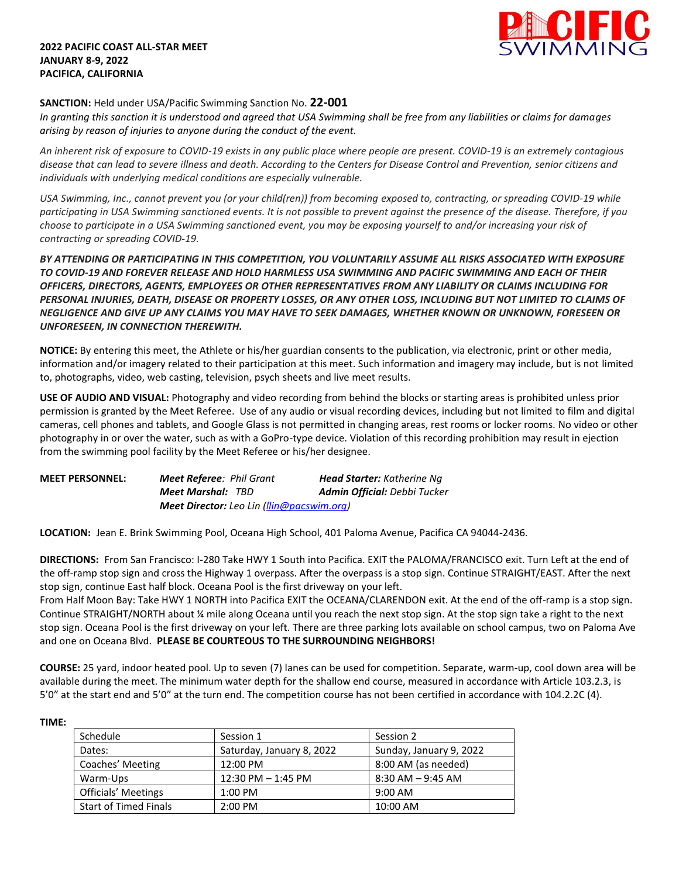## **2022 PACIFIC COAST ALL-STAR MEET JANUARY 8-9, 2022 PACIFICA, CALIFORNIA**



## **SANCTION:** Held under USA/Pacific Swimming Sanction No. **22-001**

*In granting this sanction it is understood and agreed that USA Swimming shall be free from any liabilities or claims for damages arising by reason of injuries to anyone during the conduct of the event.* 

*An inherent risk of exposure to COVID-19 exists in any public place where people are present. COVID-19 is an extremely contagious disease that can lead to severe illness and death. According to the Centers for Disease Control and Prevention, senior citizens and individuals with underlying medical conditions are especially vulnerable.*

*USA Swimming, Inc., cannot prevent you (or your child(ren)) from becoming exposed to, contracting, or spreading COVID-19 while participating in USA Swimming sanctioned events. It is not possible to prevent against the presence of the disease. Therefore, if you choose to participate in a USA Swimming sanctioned event, you may be exposing yourself to and/or increasing your risk of contracting or spreading COVID-19.*

*BY ATTENDING OR PARTICIPATING IN THIS COMPETITION, YOU VOLUNTARILY ASSUME ALL RISKS ASSOCIATED WITH EXPOSURE TO COVID-19 AND FOREVER RELEASE AND HOLD HARMLESS USA SWIMMING AND PACIFIC SWIMMING AND EACH OF THEIR OFFICERS, DIRECTORS, AGENTS, EMPLOYEES OR OTHER REPRESENTATIVES FROM ANY LIABILITY OR CLAIMS INCLUDING FOR PERSONAL INJURIES, DEATH, DISEASE OR PROPERTY LOSSES, OR ANY OTHER LOSS, INCLUDING BUT NOT LIMITED TO CLAIMS OF NEGLIGENCE AND GIVE UP ANY CLAIMS YOU MAY HAVE TO SEEK DAMAGES, WHETHER KNOWN OR UNKNOWN, FORESEEN OR UNFORESEEN, IN CONNECTION THEREWITH.*

**NOTICE:** By entering this meet, the Athlete or his/her guardian consents to the publication, via electronic, print or other media, information and/or imagery related to their participation at this meet. Such information and imagery may include, but is not limited to, photographs, video, web casting, television, psych sheets and live meet results.

**USE OF AUDIO AND VISUAL:** Photography and video recording from behind the blocks or starting areas is prohibited unless prior permission is granted by the Meet Referee. Use of any audio or visual recording devices, including but not limited to film and digital cameras, cell phones and tablets, and Google Glass is not permitted in changing areas, rest rooms or locker rooms. No video or other photography in or over the water, such as with a GoPro-type device. Violation of this recording prohibition may result in ejection from the swimming pool facility by the Meet Referee or his/her designee.

| <b>MEET PERSONNEL:</b> | <b>Meet Referee: Phil Grant</b>                  | <b>Head Starter:</b> Katherine Ng   |  |  |
|------------------------|--------------------------------------------------|-------------------------------------|--|--|
|                        | <b>Meet Marshal: TBD</b>                         | <b>Admin Official:</b> Debbi Tucker |  |  |
|                        | <b>Meet Director:</b> Leo Lin (llin@pacswim.org) |                                     |  |  |

**LOCATION:** Jean E. Brink Swimming Pool, Oceana High School, 401 Paloma Avenue, Pacifica CA 94044-2436.

**DIRECTIONS:** From San Francisco: I-280 Take HWY 1 South into Pacifica. EXIT the PALOMA/FRANCISCO exit. Turn Left at the end of the off-ramp stop sign and cross the Highway 1 overpass. After the overpass is a stop sign. Continue STRAIGHT/EAST. After the next stop sign, continue East half block. Oceana Pool is the first driveway on your left.

From Half Moon Bay: Take HWY 1 NORTH into Pacifica EXIT the OCEANA/CLARENDON exit. At the end of the off-ramp is a stop sign. Continue STRAIGHT/NORTH about ¼ mile along Oceana until you reach the next stop sign. At the stop sign take a right to the next stop sign. Oceana Pool is the first driveway on your left. There are three parking lots available on school campus, two on Paloma Ave and one on Oceana Blvd. **PLEASE BE COURTEOUS TO THE SURROUNDING NEIGHBORS!**

**COURSE:** 25 yard, indoor heated pool. Up to seven (7) lanes can be used for competition. Separate, warm-up, cool down area will be available during the meet. The minimum water depth for the shallow end course, measured in accordance with Article 103.2.3, is 5'0" at the start end and 5'0" at the turn end. The competition course has not been certified in accordance with 104.2.2C (4).

| ΊMΙ |  |  |
|-----|--|--|
|     |  |  |

| Schedule                     | Session 1                 | Session 2               |
|------------------------------|---------------------------|-------------------------|
| Dates:                       | Saturday, January 8, 2022 | Sunday, January 9, 2022 |
| Coaches' Meeting             | 12:00 PM                  | 8:00 AM (as needed)     |
| Warm-Ups                     | $12:30$ PM $- 1:45$ PM    | $8:30$ AM $-9:45$ AM    |
| Officials' Meetings          | $1:00$ PM                 | $9:00$ AM               |
| <b>Start of Timed Finals</b> | $2:00$ PM                 | 10:00 AM                |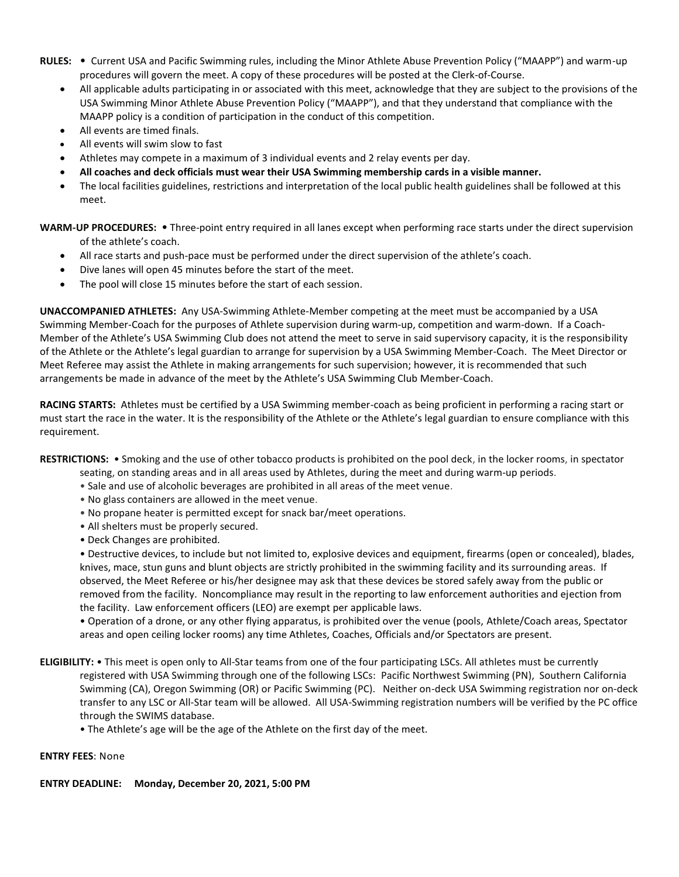- **RULES:** Current USA and Pacific Swimming rules, including the Minor Athlete Abuse Prevention Policy ("MAAPP") and warm-up procedures will govern the meet. A copy of these procedures will be posted at the Clerk-of-Course.
	- All applicable adults participating in or associated with this meet, acknowledge that they are subject to the provisions of the USA Swimming Minor Athlete Abuse Prevention Policy ("MAAPP"), and that they understand that compliance with the MAAPP policy is a condition of participation in the conduct of this competition.
	- All events are timed finals.
	- All events will swim slow to fast
	- Athletes may compete in a maximum of 3 individual events and 2 relay events per day.
	- **All coaches and deck officials must wear their USA Swimming membership cards in a visible manner.**
	- The local facilities guidelines, restrictions and interpretation of the local public health guidelines shall be followed at this meet.

**WARM-UP PROCEDURES:** • Three-point entry required in all lanes except when performing race starts under the direct supervision of the athlete's coach.

- All race starts and push-pace must be performed under the direct supervision of the athlete's coach.
- Dive lanes will open 45 minutes before the start of the meet.
- The pool will close 15 minutes before the start of each session.

**UNACCOMPANIED ATHLETES:** Any USA-Swimming Athlete-Member competing at the meet must be accompanied by a USA Swimming Member-Coach for the purposes of Athlete supervision during warm-up, competition and warm-down. If a Coach-Member of the Athlete's USA Swimming Club does not attend the meet to serve in said supervisory capacity, it is the responsibility of the Athlete or the Athlete's legal guardian to arrange for supervision by a USA Swimming Member-Coach. The Meet Director or Meet Referee may assist the Athlete in making arrangements for such supervision; however, it is recommended that such arrangements be made in advance of the meet by the Athlete's USA Swimming Club Member-Coach.

**RACING STARTS:** Athletes must be certified by a USA Swimming member-coach as being proficient in performing a racing start or must start the race in the water. It is the responsibility of the Athlete or the Athlete's legal guardian to ensure compliance with this requirement.

**RESTRICTIONS:** • Smoking and the use of other tobacco products is prohibited on the pool deck, in the locker rooms, in spectator

- seating, on standing areas and in all areas used by Athletes, during the meet and during warm-up periods.
- Sale and use of alcoholic beverages are prohibited in all areas of the meet venue.
- No glass containers are allowed in the meet venue.
- No propane heater is permitted except for snack bar/meet operations.
- All shelters must be properly secured.
- Deck Changes are prohibited.

• Destructive devices, to include but not limited to, explosive devices and equipment, firearms (open or concealed), blades, knives, mace, stun guns and blunt objects are strictly prohibited in the swimming facility and its surrounding areas. If observed, the Meet Referee or his/her designee may ask that these devices be stored safely away from the public or removed from the facility. Noncompliance may result in the reporting to law enforcement authorities and ejection from the facility. Law enforcement officers (LEO) are exempt per applicable laws.

• Operation of a drone, or any other flying apparatus, is prohibited over the venue (pools, Athlete/Coach areas, Spectator areas and open ceiling locker rooms) any time Athletes, Coaches, Officials and/or Spectators are present.

- **ELIGIBILITY:** This meet is open only to All-Star teams from one of the four participating LSCs. All athletes must be currently registered with USA Swimming through one of the following LSCs: Pacific Northwest Swimming (PN), Southern California Swimming (CA), Oregon Swimming (OR) or Pacific Swimming (PC). Neither on-deck USA Swimming registration nor on-deck transfer to any LSC or All-Star team will be allowed. All USA-Swimming registration numbers will be verified by the PC office through the SWIMS database.
	- The Athlete's age will be the age of the Athlete on the first day of the meet.

### **ENTRY FEES**: None

### **ENTRY DEADLINE: Monday, December 20, 2021, 5:00 PM**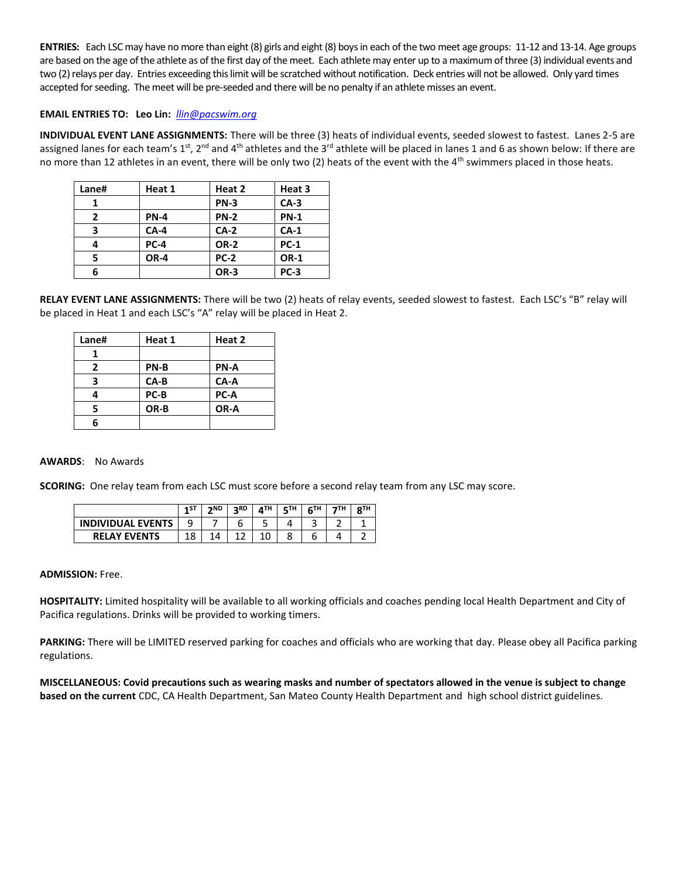**ENTRIES:** Each LSC may have no more than eight (8) girls and eight (8) boys in each of the two meet age groups: 11-12 and 13-14. Age groups are based on the age of the athlete as of the first day of the meet. Each athlete may enter up to a maximum of three (3) individual events and two (2) relays per day. Entries exceeding this limit will be scratched without notification. Deck entries will not be allowed. Only yard times accepted for seeding. The meet will be pre-seeded and there will be no penalty if an athlete misses an event.

## **EMAIL ENTRIES TO: Leo Lin:** *[llin@pacswim.org](mailto:llin@pacswim.org)*

**INDIVIDUAL EVENT LANE ASSIGNMENTS:** There will be three (3) heats of individual events, seeded slowest to fastest. Lanes 2-5 are assigned lanes for each team's 1st, 2<sup>nd</sup> and 4<sup>th</sup> athletes and the 3<sup>rd</sup> athlete will be placed in lanes 1 and 6 as shown below: If there are no more than 12 athletes in an event, there will be only two (2) heats of the event with the  $4<sup>th</sup>$  swimmers placed in those heats.

| Lane#        | Heat 1      | Heat 2      | Heat 3      |
|--------------|-------------|-------------|-------------|
|              |             | <b>PN-3</b> | $CA-3$      |
| $\mathbf{2}$ | <b>PN-4</b> | <b>PN-2</b> | <b>PN-1</b> |
| 3            | $CA-4$      | $CA-2$      | $CA-1$      |
| 4            | <b>PC-4</b> | <b>OR-2</b> | <b>PC-1</b> |
| 5            | OR-4        | <b>PC-2</b> | <b>OR-1</b> |
| 6            |             | OR-3        | <b>PC-3</b> |

**RELAY EVENT LANE ASSIGNMENTS:** There will be two (2) heats of relay events, seeded slowest to fastest. Each LSC's "B" relay will be placed in Heat 1 and each LSC's "A" relay will be placed in Heat 2.

| Lane# | Heat 1 | Heat 2 |
|-------|--------|--------|
|       |        |        |
| 2     | PN-B   | PN-A   |
| 3     | $CA-B$ | CA-A   |
| 4     | PC-B   | PC-A   |
| 5     | OR-B   | OR-A   |
|       |        |        |

#### **AWARDS**: No Awards

**SCORING:** One relay team from each LSC must score before a second relay team from any LSC may score.

|                          | $-15T$ | 2ND | <b>DRD</b> | <b>ATH</b> | <b>CTH</b> | <b>CTH</b> | 7TH | OTH |
|--------------------------|--------|-----|------------|------------|------------|------------|-----|-----|
| <b>INDIVIDUAL EVENTS</b> | 9      |     |            | ٠          |            | ∽<br>-     | ∽   |     |
| <b>RELAY EVENTS</b>      |        |     |            |            |            |            |     |     |

#### **ADMISSION:** Free.

**HOSPITALITY:** Limited hospitality will be available to all working officials and coaches pending local Health Department and City of Pacifica regulations. Drinks will be provided to working timers.

**PARKING:** There will be LIMITED reserved parking for coaches and officials who are working that day. Please obey all Pacifica parking regulations.

**MISCELLANEOUS: Covid precautions such as wearing masks and number of spectators allowed in the venue is subject to change based on the current** CDC, CA Health Department, San Mateo County Health Department and high school district guidelines.